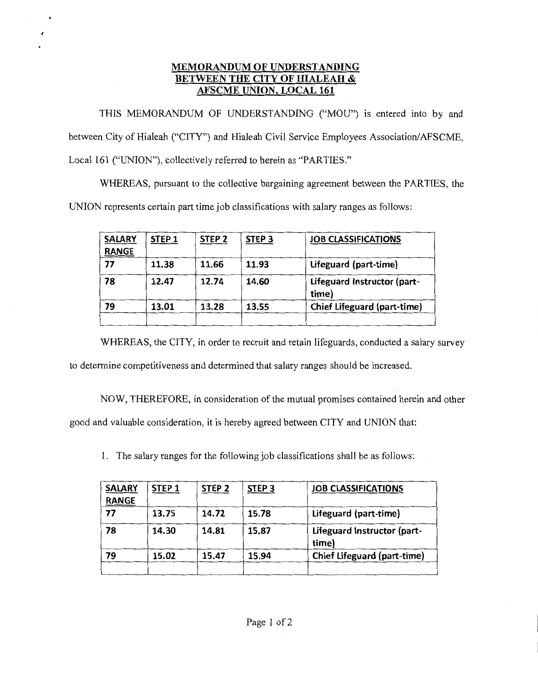## MEMORANDUM OF UNDERSTANDING BETWEEN THE CITY OF HIALEAH & AFSCME UNION, LOCAL 161

I

THIS MEMORANDUM OF UNDERSTANDING ("MOU") is entered into by and between City of Hialeah ("CITY") and Hialeah Civil Service Employees Association/AFSCME, Local 161 ("UNION"), collectively referred to herein as "PARTIES."

WHEREAS, pursuant to the collective bargaining agreement between the PARTIES, the UNION represents certain part time job classifications with salary ranges as follows:

| <b>SALARY</b><br><b>RANGE</b> | STEP <sub>1</sub> | STEP <sub>2</sub> | STEP <sub>3</sub> | <b>JOB CLASSIFICATIONS</b>           |
|-------------------------------|-------------------|-------------------|-------------------|--------------------------------------|
| 77                            | 11.38             | 11.66             | 11.93             | Lifeguard (part-time)                |
| 78                            | 12.47             | 12.74             | 14.60             | Lifeguard Instructor (part-<br>time) |
| 79                            | 13.01             | 13.28             | 13.55             | Chief Lifeguard (part-time)          |
|                               |                   |                   |                   |                                      |

WHEREAS, the CITY, in order to recruit and retain lifeguards, conducted a salary survey to determine competitiveness and determined that salary ranges should be increased.

NOW, THEREFORE, in consideration of the mutual promises contained herein and other good and valuable consideration, it is hereby agreed between CITY and UNION that:

1. The salary ranges for the following job classifications shall be as follows:

| <b>SALARY</b><br><b>RANGE</b> | STEP <sub>1</sub> | STEP <sub>2</sub> | STEP <sub>3</sub> | <b>JOB CLASSIFICATIONS</b>           |
|-------------------------------|-------------------|-------------------|-------------------|--------------------------------------|
| 77                            | 13.75             | 14.72             | 15.78             | Lifeguard (part-time)                |
| 78                            | 14.30             | 14.81             | 15.87             | Lifeguard Instructor (part-<br>time) |
| 79                            | 15.02             | 15.47             | 15.94             | <b>Chief Lifeguard (part-time)</b>   |
|                               |                   |                   |                   |                                      |